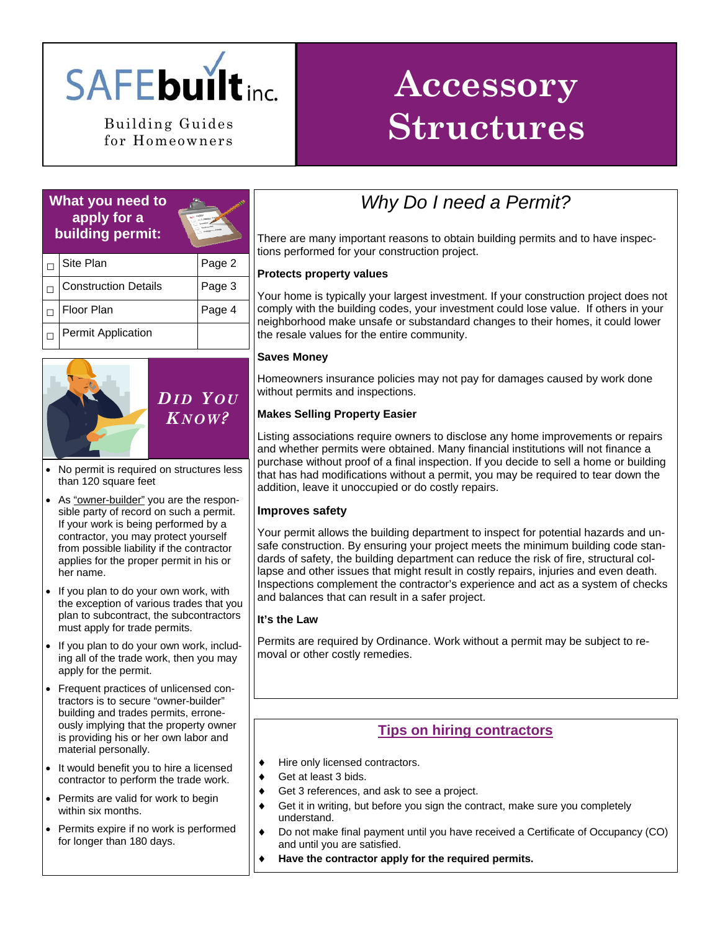

for Homeowners

# **Accessory Building Guides Structures**

### **What you need to apply for a building permit:**



| Site Plan                   | Page 2 |
|-----------------------------|--------|
| <b>Construction Details</b> | Page 3 |
| Floor Plan                  | Page 4 |
| <b>Permit Application</b>   |        |



- No permit is required on structures less than 120 square feet
- As "owner-builder" you are the responsible party of record on such a permit. If your work is being performed by a contractor, you may protect yourself from possible liability if the contractor applies for the proper permit in his or her name.
- If you plan to do your own work, with the exception of various trades that you plan to subcontract, the subcontractors must apply for trade permits.
- If you plan to do your own work, including all of the trade work, then you may apply for the permit.
- Frequent practices of unlicensed contractors is to secure "owner-builder" building and trades permits, erroneously implying that the property owner is providing his or her own labor and material personally.
- It would benefit you to hire a licensed contractor to perform the trade work.
- Permits are valid for work to begin within six months.
- Permits expire if no work is performed for longer than 180 days.

## *Why Do I need a Permit?*

There are many important reasons to obtain building permits and to have inspections performed for your construction project.

### **Protects property values**

Your home is typically your largest investment. If your construction project does not comply with the building codes, your investment could lose value. If others in your neighborhood make unsafe or substandard changes to their homes, it could lower the resale values for the entire community.

#### **Saves Money**

Homeowners insurance policies may not pay for damages caused by work done without permits and inspections.

### **Makes Selling Property Easier**

Listing associations require owners to disclose any home improvements or repairs and whether permits were obtained. Many financial institutions will not finance a purchase without proof of a final inspection. If you decide to sell a home or building that has had modifications without a permit, you may be required to tear down the addition, leave it unoccupied or do costly repairs.

### **Improves safety**

Your permit allows the building department to inspect for potential hazards and unsafe construction. By ensuring your project meets the minimum building code standards of safety, the building department can reduce the risk of fire, structural collapse and other issues that might result in costly repairs, injuries and even death. Inspections complement the contractor's experience and act as a system of checks and balances that can result in a safer project.

### **It's the Law**

Permits are required by Ordinance. Work without a permit may be subject to removal or other costly remedies.

### **Tips on hiring contractors**

- ♦ Hire only licensed contractors.
- Get at least 3 bids.
- Get 3 references, and ask to see a project.
- Get it in writing, but before you sign the contract, make sure you completely understand.
- ♦ Do not make final payment until you have received a Certificate of Occupancy (CO) and until you are satisfied.
	- Have the contractor apply for the required permits.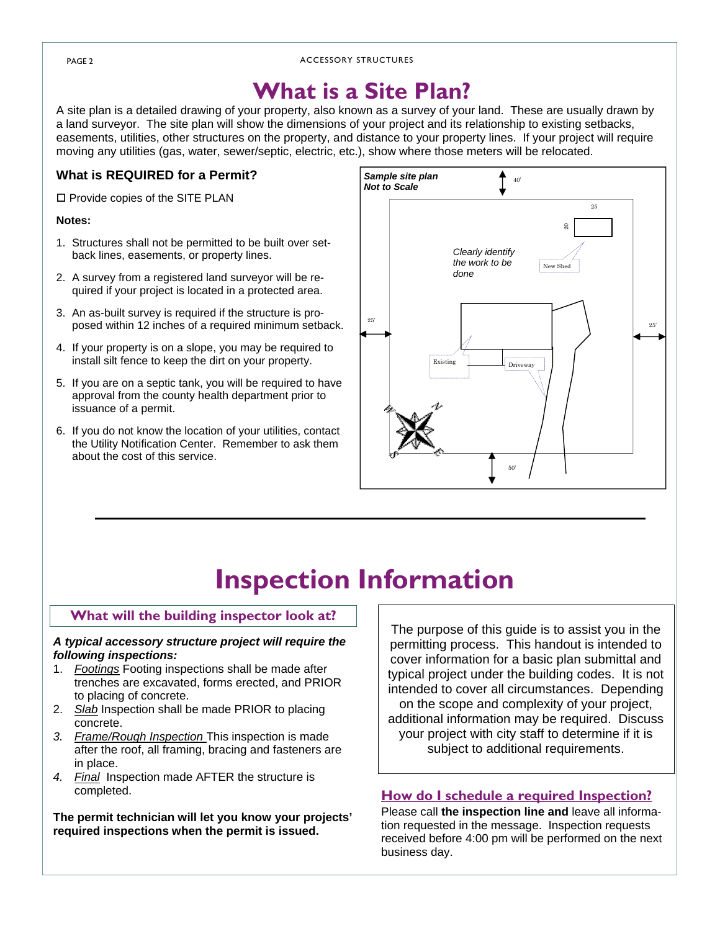#### PAGE 2 ACCESSORY STRUCTURES

# **What is a Site Plan?**

A site plan is a detailed drawing of your property, also known as a survey of your land. These are usually drawn by a land surveyor. The site plan will show the dimensions of your project and its relationship to existing setbacks, easements, utilities, other structures on the property, and distance to your property lines. If your project will require moving any utilities (gas, water, sewer/septic, electric, etc.), show where those meters will be relocated.

### **What is REQUIRED for a Permit?**

 $\square$  Provide copies of the SITE PLAN

#### **Notes:**

- 1. Structures shall not be permitted to be built over setback lines, easements, or property lines.
- 2. A survey from a registered land surveyor will be required if your project is located in a protected area.
- 3. An as-built survey is required if the structure is proposed within 12 inches of a required minimum setback.
- 4. If your property is on a slope, you may be required to install silt fence to keep the dirt on your property.
- 5. If you are on a septic tank, you will be required to have approval from the county health department prior to issuance of a permit.
- 6. If you do not know the location of your utilities, contact the Utility Notification Center. Remember to ask them about the cost of this service.



# **Inspection Information**

### **What will the building inspector look at?**

#### *A typical accessory structure project will require the following inspections:*

- 1. *Footings* Footing inspections shall be made after trenches are excavated, forms erected, and PRIOR to placing of concrete.
- 2. *Slab* Inspection shall be made PRIOR to placing concrete.
- *3. Frame/Rough Inspection* This inspection is made after the roof, all framing, bracing and fasteners are in place.
- *4. Final* Inspection made AFTER the structure is completed.

**The permit technician will let you know your projects' required inspections when the permit is issued.**

The purpose of this guide is to assist you in the permitting process. This handout is intended to cover information for a basic plan submittal and typical project under the building codes. It is not intended to cover all circumstances. Depending on the scope and complexity of your project, additional information may be required. Discuss your project with city staff to determine if it is subject to additional requirements.

### **How do I schedule a required Inspection?**

Please call **the inspection line and** leave all information requested in the message. Inspection requests received before 4:00 pm will be performed on the next business day.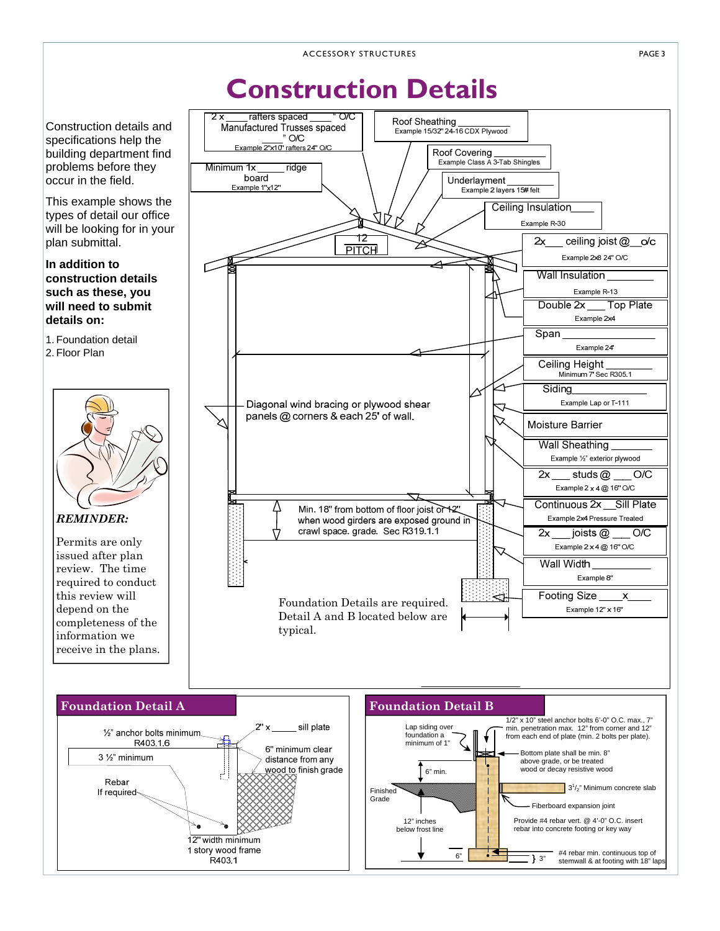